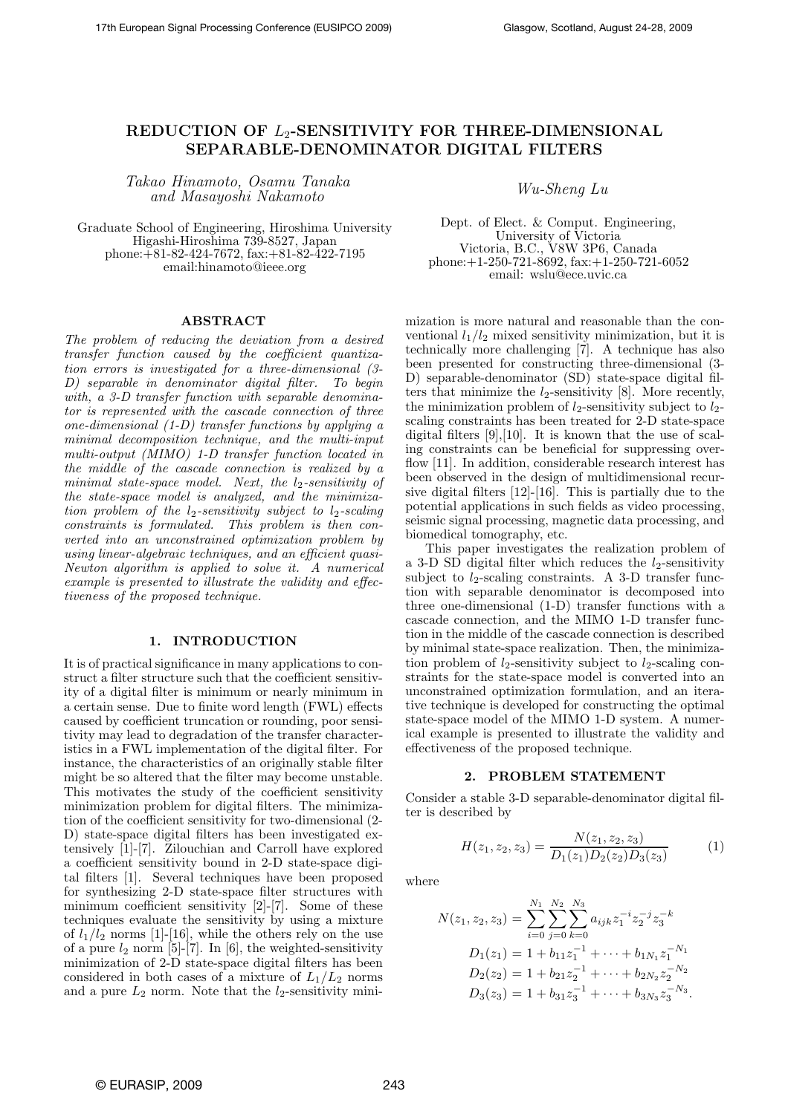# **REDUCTION OF** *L*2**-SENSITIVITY FOR THREE-DIMENSIONAL SEPARABLE-DENOMINATOR DIGITAL FILTERS**

*Takao Hinamoto, Osamu Tanaka and Masayoshi Nakamoto Wu-Sheng Lu*

Graduate School of Engineering, Hiroshima University Higashi-Hiroshima 739-8527, Japan phone:+81-82-424-7672, fax:+81-82-422-7195 email:hinamoto@ieee.org

Dept. of Elect. & Comput. Engineering, University of Victoria Victoria, B.C., V8W 3P6, Canada phone:+1-250-721-8692, fax:+1-250-721-6052 email: wslu@ece.uvic.ca

#### **ABSTRACT**

*The problem of reducing the deviation from a desired transfer function caused by the coefficient quantization errors is investigated for a three-dimensional (3- D) separable in denominator digital filter. To begin with, a 3-D transfer function with separable denominator is represented with the cascade connection of three one-dimensional (1-D) transfer functions by applying a minimal decomposition technique, and the multi-input multi-output (MIMO) 1-D transfer function located in the middle of the cascade connection is realized by a minimal state-space model. Next, the*  $l_2$ -sensitivity of *the state-space model is analyzed, and the minimization problem of the*  $l_2$ -sensitivity subject to  $l_2$ -scaling *constraints is formulated. This problem is then converted into an unconstrained optimization problem by using linear-algebraic techniques, and an efficient quasi-Newton algorithm is applied to solve it. A numerical example is presented to illustrate the validity and effectiveness of the proposed technique.*

#### **1. INTRODUCTION**

It is of practical significance in many applications to construct a filter structure such that the coefficient sensitivity of a digital filter is minimum or nearly minimum in a certain sense. Due to finite word length (FWL) effects caused by coefficient truncation or rounding, poor sensitivity may lead to degradation of the transfer characteristics in a FWL implementation of the digital filter. For instance, the characteristics of an originally stable filter might be so altered that the filter may become unstable. This motivates the study of the coefficient sensitivity minimization problem for digital filters. The minimization of the coefficient sensitivity for two-dimensional (2- D) state-space digital filters has been investigated extensively [1]-[7]. Zilouchian and Carroll have explored a coefficient sensitivity bound in 2-D state-space digital filters [1]. Several techniques have been proposed for synthesizing 2-D state-space filter structures with minimum coefficient sensitivity [2]-[7]. Some of these techniques evaluate the sensitivity by using a mixture of  $l_1/l_2$  norms [1]-[16], while the others rely on the use of a pure  $l_2$  norm [5]-[7]. In [6], the weighted-sensitivity minimization of 2-D state-space digital filters has been considered in both cases of a mixture of  $L_1/L_2$  norms and a pure  $L_2$  norm. Note that the  $l_2$ -sensitivity minimization is more natural and reasonable than the conventional  $l_1/l_2$  mixed sensitivity minimization, but it is technically more challenging [7]. A technique has also been presented for constructing three-dimensional (3- D) separable-denominator (SD) state-space digital filters that minimize the  $l_2$ -sensitivity [8]. More recently, the minimization problem of  $l_2$ -sensitivity subject to  $l_2$ scaling constraints has been treated for 2-D state-space digital filters [9], [10]. It is known that the use of scaling constraints can be beneficial for suppressing overflow [11]. In addition, considerable research interest has been observed in the design of multidimensional recursive digital filters [12]-[16]. This is partially due to the potential applications in such fields as video processing, seismic signal processing, magnetic data processing, and biomedical tomography, etc.

This paper investigates the realization problem of a 3-D SD digital filter which reduces the  $l_2$ -sensitivity subject to  $l_2$ -scaling constraints. A 3-D transfer function with separable denominator is decomposed into three one-dimensional (1-D) transfer functions with a cascade connection, and the MIMO 1-D transfer function in the middle of the cascade connection is described by minimal state-space realization. Then, the minimization problem of  $l_2$ -sensitivity subject to  $l_2$ -scaling constraints for the state-space model is converted into an unconstrained optimization formulation, and an iterative technique is developed for constructing the optimal state-space model of the MIMO 1-D system. A numerical example is presented to illustrate the validity and effectiveness of the proposed technique.

# **2. PROBLEM STATEMENT**

Consider a stable 3-D separable-denominator digital filter is described by

 $H(z_1, z_2, z_3) = \frac{N(z_1, z_2, z_3)}{D_1(z_1)D_2(z_2)D_3(z_3)}$  (1)

where

$$
N(z_1, z_2, z_3) = \sum_{i=0}^{N_1} \sum_{j=0}^{N_2} \sum_{k=0}^{N_3} a_{ijk} z_1^{-i} z_2^{-j} z_3^{-k}
$$
  
\n
$$
D_1(z_1) = 1 + b_{11} z_1^{-1} + \dots + b_{1N_1} z_1^{-N_1}
$$
  
\n
$$
D_2(z_2) = 1 + b_{21} z_2^{-1} + \dots + b_{2N_2} z_2^{-N_2}
$$
  
\n
$$
D_3(z_3) = 1 + b_{31} z_3^{-1} + \dots + b_{3N_3} z_3^{-N_3}.
$$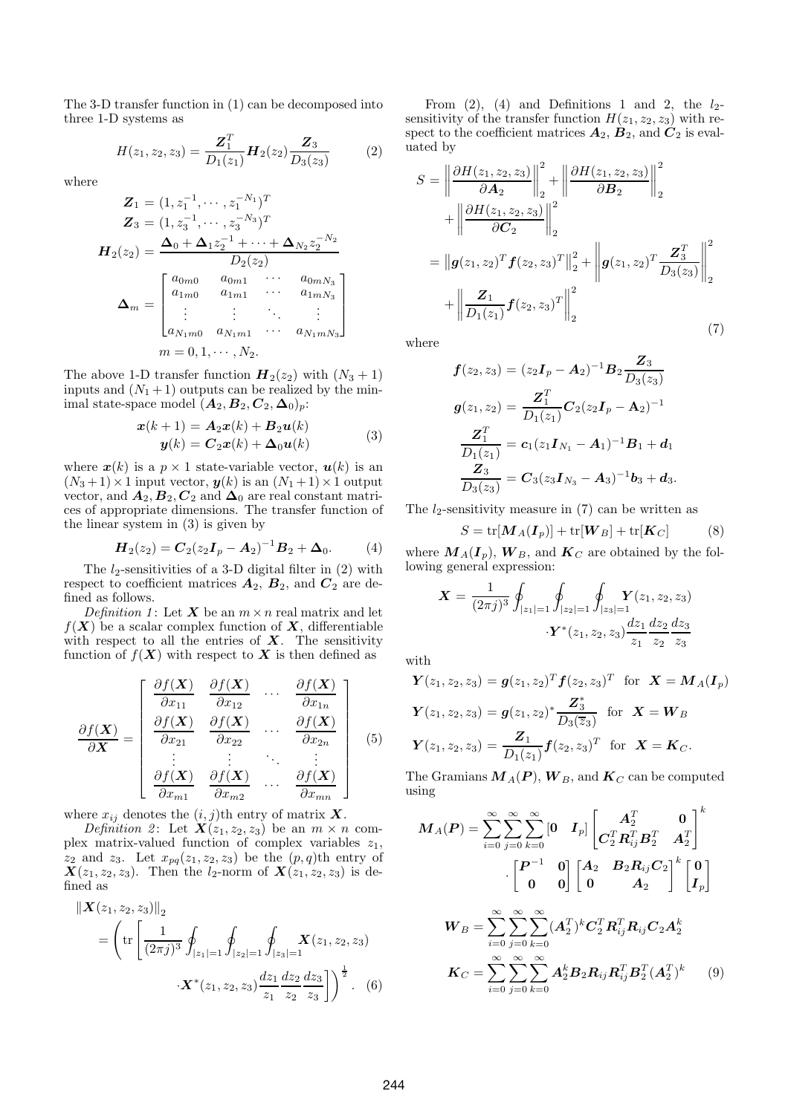The 3-D transfer function in (1) can be decomposed into three 1-D systems as

$$
H(z_1, z_2, z_3) = \frac{\mathbf{Z}_1^T}{D_1(z_1)} \mathbf{H}_2(z_2) \frac{\mathbf{Z}_3}{D_3(z_3)}
$$
(2)

where

$$
Z_1 = (1, z_1^{-1}, \dots, z_1^{-N_1})^T
$$
  
\n
$$
Z_3 = (1, z_3^{-1}, \dots, z_3^{-N_3})^T
$$
  
\n
$$
H_2(z_2) = \frac{\Delta_0 + \Delta_1 z_2^{-1} + \dots + \Delta_{N_2} z_2^{-N_2}}{D_2(z_2)}
$$
  
\n
$$
\Delta_m = \begin{bmatrix} a_{0m0} & a_{0m1} & \cdots & a_{0mN_3} \\ a_{1m0} & a_{1m1} & \cdots & a_{1mN_3} \\ \vdots & \vdots & \ddots & \vdots \\ a_{N_1m0} & a_{N_1m1} & \cdots & a_{N_1mN_3} \end{bmatrix}
$$
  
\n
$$
m = 0, 1, \dots, N_2.
$$

The above 1-D transfer function  $H_2(z_2)$  with  $(N_3 + 1)$ inputs and  $(N_1 + 1)$  outputs can be realized by the minimal state-space model  $(A_2, B_2, C_2, \Delta_0)_p$ :

$$
\begin{aligned} \mathbf{x}(k+1) &= \mathbf{A}_2 \mathbf{x}(k) + \mathbf{B}_2 \mathbf{u}(k) \\ \mathbf{y}(k) &= \mathbf{C}_2 \mathbf{x}(k) + \mathbf{\Delta}_0 \mathbf{u}(k) \end{aligned} \tag{3}
$$

where  $x(k)$  is a  $p \times 1$  state-variable vector,  $u(k)$  is an  $(N_3+1)\times 1$  input vector,  $y(k)$  is an  $(N_1+1)\times 1$  output vector, and  $\vec{A}_2, \vec{B}_2, \vec{C}_2$  and  $\Delta_0$  are real constant matrices of appropriate dimensions. The transfer function of the linear system in (3) is given by

$$
\boldsymbol{H}_2(z_2) = \boldsymbol{C}_2(z_2 \boldsymbol{I}_p - \boldsymbol{A}_2)^{-1} \boldsymbol{B}_2 + \boldsymbol{\Delta}_0. \tag{4}
$$

The  $l_2$ -sensitivities of a 3-D digital filter in  $(2)$  with respect to coefficient matrices  $A_2$ ,  $B_2$ , and  $C_2$  are defined as follows.

*Definition 1*: Let *X* be an  $m \times n$  real matrix and let  $f(X)$  be a scalar complex function of X, differentiable with respect to all the entries of *X*. The sensitivity function of  $f(X)$  with respect to X is then defined as

$$
\frac{\partial f(\mathbf{X})}{\partial \mathbf{X}} = \begin{bmatrix} \frac{\partial f(\mathbf{X})}{\partial x_{11}} & \frac{\partial f(\mathbf{X})}{\partial x_{12}} & \cdots & \frac{\partial f(\mathbf{X})}{\partial x_{1n}} \\ \frac{\partial f(\mathbf{X})}{\partial x_{21}} & \frac{\partial f(\mathbf{X})}{\partial x_{22}} & \cdots & \frac{\partial f(\mathbf{X})}{\partial x_{2n}} \\ \vdots & \vdots & \ddots & \vdots \\ \frac{\partial f(\mathbf{X})}{\partial x_{m1}} & \frac{\partial f(\mathbf{X})}{\partial x_{m2}} & \cdots & \frac{\partial f(\mathbf{X})}{\partial x_{mn}} \end{bmatrix} \quad (5)
$$

where  $x_{ij}$  denotes the  $(i, j)$ th entry of matrix **X**.

*Definition 2*: Let  $\mathbf{X}(z_1, z_2, z_3)$  be an  $m \times n$  complex matrix-valued function of complex variables  $z_1$ ,  $z_2$  and  $z_3$ . Let  $x_{pq}(z_1, z_2, z_3)$  be the  $(p, q)$ th entry of  $X(z_1, z_2, z_3)$ . Then the  $l_2$ -norm of  $X(z_1, z_2, z_3)$  is defined as

$$
\|\mathbf{X}(z_1, z_2, z_3)\|_2
$$
  
=  $\left(\text{tr}\left[\frac{1}{(2\pi j)^3} \oint_{|z_1|=1} \oint_{|z_2|=1} \oint_{|z_3|=1} \mathbf{X}(z_1, z_2, z_3)\right. \right. \cdot \mathbf{X}^*(z_1, z_2, z_3) \frac{dz_1}{z_1} \frac{dz_2}{z_2} \frac{dz_3}{z_3}\right]\right)^{\frac{1}{2}}.$  (6)

From (2), (4) and Definitions 1 and 2, the  $l_2$ sensitivity of the transfer function  $H(z_1, z_2, z_3)$  with respect to the coefficient matrices  $A_2$ ,  $B_2$ , and  $C_2$  is evaluated by

$$
S = \left\| \frac{\partial H(z_1, z_2, z_3)}{\partial \mathbf{A}_2} \right\|_2^2 + \left\| \frac{\partial H(z_1, z_2, z_3)}{\partial \mathbf{B}_2} \right\|_2^2
$$
  
+ 
$$
\left\| \frac{\partial H(z_1, z_2, z_3)}{\partial \mathbf{C}_2} \right\|_2^2
$$
  
= 
$$
\left\| \mathbf{g}(z_1, z_2)^T \mathbf{f}(z_2, z_3)^T \right\|_2^2 + \left\| \mathbf{g}(z_1, z_2)^T \frac{\mathbf{Z}_3^T}{D_3(z_3)} \right\|_2^2
$$
  
+ 
$$
\left\| \frac{\mathbf{Z}_1}{D_1(z_1)} \mathbf{f}(z_2, z_3)^T \right\|_2^2
$$
(7)

where

$$
f(z_2, z_3) = (z_2I_p - A_2)^{-1}B_2 \frac{Z_3}{D_3(z_3)}
$$
  
\n
$$
g(z_1, z_2) = \frac{Z_1^T}{D_1(z_1)} C_2(z_2I_p - A_2)^{-1}
$$
  
\n
$$
\frac{Z_1^T}{D_1(z_1)} = c_1(z_1I_{N_1} - A_1)^{-1}B_1 + d_1
$$
  
\n
$$
\frac{Z_3}{D_3(z_3)} = C_3(z_3I_{N_3} - A_3)^{-1}b_3 + d_3.
$$

The  $l_2$ -sensitivity measure in (7) can be written as

$$
S = \text{tr}[\boldsymbol{M}_A(\boldsymbol{I}_p)] + \text{tr}[\boldsymbol{W}_B] + \text{tr}[\boldsymbol{K}_C] \tag{8}
$$

where  $M_A(I_p)$ ,  $W_B$ , and  $K_C$  are obtained by the following general expression:

$$
\mathbf{X} = \frac{1}{(2\pi j)^3} \oint_{|z_1|=1} \oint_{|z_2|=1} \oint_{|z_3|=1} \mathbf{Y}(z_1, z_2, z_3)
$$

$$
\cdot \mathbf{Y}^*(z_1, z_2, z_3) \frac{dz_1}{z_1} \frac{dz_2}{z_2} \frac{dz_3}{z_3}
$$

with

$$
\mathbf{Y}(z_1, z_2, z_3) = \mathbf{g}(z_1, z_2)^T \mathbf{f}(z_2, z_3)^T \text{ for } \mathbf{X} = \mathbf{M}_A(\mathbf{I}_p)
$$
  

$$
\mathbf{Y}(z_1, z_2, z_3) = \mathbf{g}(z_1, z_2)^* \frac{\mathbf{Z}_3^*}{D_3(\overline{z}_3)} \text{ for } \mathbf{X} = \mathbf{W}_B
$$
  

$$
\mathbf{Y}(z_1, z_2, z_3) = \frac{\mathbf{Z}_1}{D_1(z_1)} \mathbf{f}(z_2, z_3)^T \text{ for } \mathbf{X} = \mathbf{K}_C.
$$

The Gramians  $M_A(P)$ ,  $W_B$ , and  $K_C$  can be computed using

$$
M_A(P) = \sum_{i=0}^{\infty} \sum_{j=0}^{\infty} \sum_{k=0}^{\infty} [0 \quad I_p] \begin{bmatrix} A_2^T & 0 \\ C_2^T R_{ij}^T B_2^T & A_2^T \end{bmatrix}^k
$$

$$
\cdot \begin{bmatrix} P^{-1} & 0 \\ 0 & 0 \end{bmatrix} \begin{bmatrix} A_2 & B_2 R_{ij} C_2 \\ 0 & A_2 \end{bmatrix}^k \begin{bmatrix} 0 \\ I_p \end{bmatrix}
$$

$$
W_B = \sum_{i=0}^{\infty} \sum_{j=0}^{\infty} \sum_{k=0}^{\infty} (A_2^T)^k C_2^T R_{ij}^T R_{ij} C_2 A_2^k
$$

$$
K_C = \sum_{i=0}^{\infty} \sum_{j=0}^{\infty} \sum_{k=0}^{\infty} A_2^k B_2 R_{ij} R_{ij}^T B_2^T (A_2^T)^k \qquad (9)
$$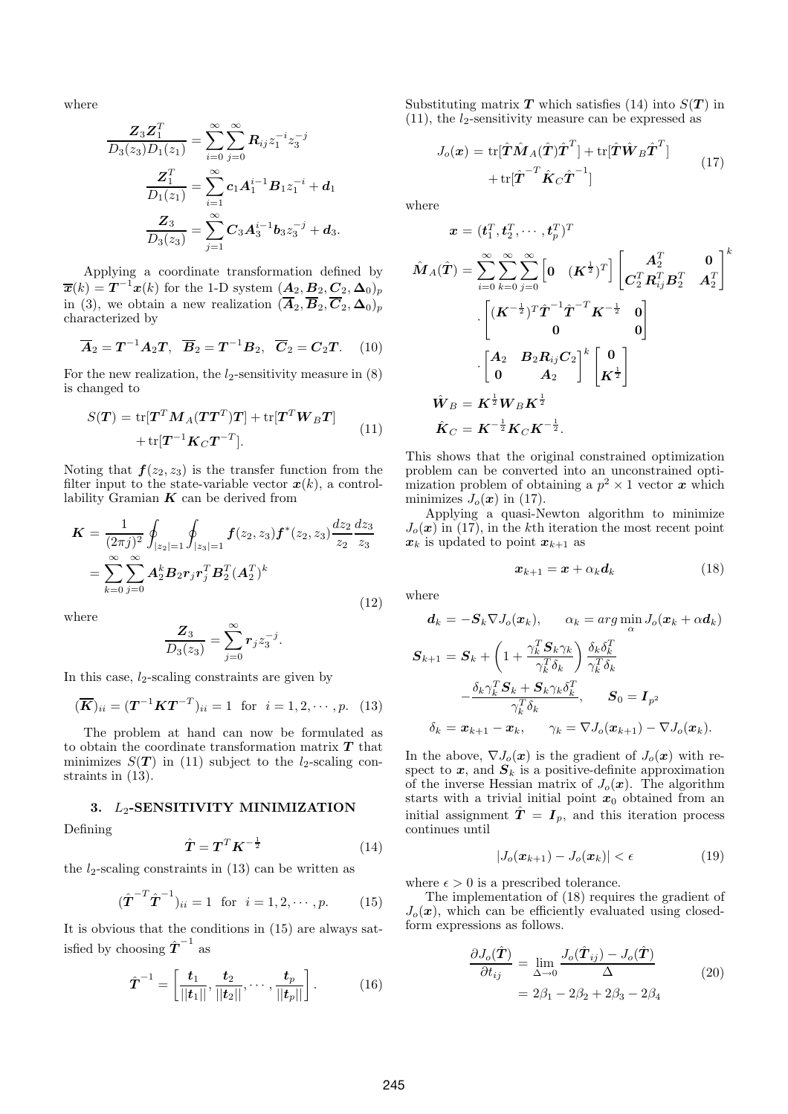where

$$
\frac{Z_3 Z_1^T}{D_3(z_3)D_1(z_1)} = \sum_{i=0}^{\infty} \sum_{j=0}^{\infty} R_{ij} z_1^{-i} z_3^{-j}
$$

$$
\frac{Z_1^T}{D_1(z_1)} = \sum_{i=1}^{\infty} c_1 A_1^{i-1} B_1 z_1^{-i} + d_1
$$

$$
\frac{Z_3}{D_3(z_3)} = \sum_{j=1}^{\infty} C_3 A_3^{i-1} b_3 z_3^{-j} + d_3.
$$

Applying a coordinate transformation defined by  $\overline{\bm{x}}(k) = \bm{T}^{-1}\bm{x}(k)$  for the 1-D system  $(\bm{A}_2, \bm{B}_2, \bm{C}_2, \bm{\Delta}_0)_p$ in (3), we obtain a new realization  $(\overline{A}_2, \overline{B}_2, \overline{C}_2, \Delta_0)_p$ characterized by

$$
\overline{A}_2 = T^{-1}A_2T, \quad \overline{B}_2 = T^{-1}B_2, \quad \overline{C}_2 = C_2T. \quad (10)
$$

For the new realization, the  $l_2$ -sensitivity measure in  $(8)$ is changed to

$$
S(\boldsymbol{T}) = \text{tr}[\boldsymbol{T}^T \boldsymbol{M}_A (\boldsymbol{T} \boldsymbol{T}^T) \boldsymbol{T}] + \text{tr}[\boldsymbol{T}^T \boldsymbol{W}_B \boldsymbol{T}] + \text{tr}[\boldsymbol{T}^{-1} \boldsymbol{K}_C \boldsymbol{T}^{-T}]. \tag{11}
$$

Noting that  $f(z_2, z_3)$  is the transfer function from the filter input to the state-variable vector  $x(k)$ , a controllability Gramian  $K$  can be derived from

$$
\mathbf{K} = \frac{1}{(2\pi j)^2} \oint_{|z_2|=1} \oint_{|z_3|=1} f(z_2, z_3) \mathbf{f}^*(z_2, z_3) \frac{dz_2}{z_2} \frac{dz_3}{z_3}
$$
  
= 
$$
\sum_{k=0}^{\infty} \sum_{j=0}^{\infty} \mathbf{A}_2^k \mathbf{B}_2 \mathbf{r}_j \mathbf{r}_j^T \mathbf{B}_2^T (\mathbf{A}_2^T)^k
$$
(12)

where

$$
\frac{\boldsymbol{Z}_3}{D_3(z_3)} = \sum_{j=0}^{\infty} \boldsymbol{r}_j z_3^{-j}.
$$

In this case,  $l_2$ -scaling constraints are given by

$$
(\overline{K})_{ii} = (T^{-1}KT^{-T})_{ii} = 1 \text{ for } i = 1, 2, \cdots, p. \quad (13)
$$

The problem at hand can now be formulated as to obtain the coordinate transformation matrix *T* that minimizes  $S(T)$  in (11) subject to the *l*<sub>2</sub>-scaling constraints in (13).

## **3.** L2**-SENSITIVITY MINIMIZATION**

Defining

$$
\hat{\boldsymbol{T}} = \boldsymbol{T}^T \boldsymbol{K}^{-\frac{1}{2}} \tag{14}
$$

the  $l_2$ -scaling constraints in (13) can be written as

$$
(\hat{\boldsymbol{T}}^{-T}\hat{\boldsymbol{T}}^{-1})_{ii} = 1 \text{ for } i = 1, 2, \cdots, p. \qquad (15)
$$

It is obvious that the conditions in (15) are always satisfied by choosing  $\hat{T}^{-1}$  as

$$
\hat{T}^{-1} = \left[\frac{t_1}{||t_1||}, \frac{t_2}{||t_2||}, \cdots, \frac{t_p}{||t_p||}\right].
$$
 (16)

Substituting matrix  $T$  which satisfies (14) into  $S(T)$  in  $(11)$ , the  $l_2$ -sensitivity measure can be expressed as

$$
J_o(\boldsymbol{x}) = \text{tr}[\hat{\boldsymbol{T}}\hat{\boldsymbol{M}}_A(\hat{\boldsymbol{T}})\hat{\boldsymbol{T}}^T] + \text{tr}[\hat{\boldsymbol{T}}\hat{\boldsymbol{W}}_B\hat{\boldsymbol{T}}^T] + \text{tr}[\hat{\boldsymbol{T}}^T\hat{\boldsymbol{K}}_C\hat{\boldsymbol{T}}^{-1}]
$$
(17)

where

$$
\begin{aligned} \boldsymbol{x} &= (t_1^T, t_2^T, \cdots, t_p^T)^T \\ \hat{\boldsymbol{M}}_A(\hat{\boldsymbol{T}}) &= \sum_{i=0}^{\infty} \sum_{k=0}^{\infty} \sum_{j=0}^{\infty} \left[ \mathbf{0}^-(\boldsymbol{K}^{\frac{1}{2}})^T \right] \left[ \begin{matrix} \boldsymbol{A}_2^T & \mathbf{0} \\ \boldsymbol{C}_2^T \boldsymbol{R}_{ij}^T \boldsymbol{B}_2^T & \boldsymbol{A}_2^T \end{matrix} \right]^k \\ &\cdot \left[ \begin{matrix} (\boldsymbol{K}^{-\frac{1}{2}})^T \hat{\boldsymbol{T}}^{-1} \hat{\boldsymbol{T}}^{-T} \boldsymbol{K}^{-\frac{1}{2}} & \mathbf{0} \\ \mathbf{0} & \boldsymbol{A}_2 \end{matrix} \right] \\ &\cdot \left[ \begin{matrix} \boldsymbol{A}_2 & \boldsymbol{B}_2 \boldsymbol{R}_{ij} \boldsymbol{C}_2 \\ \mathbf{0} & \boldsymbol{A}_2 \end{matrix} \right]^k \left[ \begin{matrix} \mathbf{0} \\ \boldsymbol{K}^{\frac{1}{2}} \end{matrix} \right] \\ \hat{\boldsymbol{W}}_B &= \boldsymbol{K}^{\frac{1}{2}} \boldsymbol{W}_B \boldsymbol{K}^{\frac{1}{2}} \\ \hat{\boldsymbol{K}}_C &= \boldsymbol{K}^{-\frac{1}{2}} \boldsymbol{K}_C \boldsymbol{K}^{-\frac{1}{2}}. \end{aligned}
$$

This shows that the original constrained optimization problem can be converted into an unconstrained optimization problem of obtaining a  $p^2 \times 1$  vector *x* which minimizes  $J_o(\mathbf{x})$  in (17).

Applying a quasi-Newton algorithm to minimize  $J_o(\boldsymbol{x})$  in (17), in the k<sup>th</sup> iteration the most recent point  $x_k$  is updated to point  $x_{k+1}$  as

$$
x_{k+1} = x + \alpha_k d_k \tag{18}
$$

where

$$
\mathbf{d}_k = -\mathbf{S}_k \nabla J_o(\mathbf{x}_k), \qquad \alpha_k = \arg \min_{\alpha} J_o(\mathbf{x}_k + \alpha \mathbf{d}_k)
$$
\n
$$
\mathbf{S}_{k+1} = \mathbf{S}_k + \left(1 + \frac{\gamma_k^T \mathbf{S}_k \gamma_k}{\gamma_k^T \delta_k}\right) \frac{\delta_k \delta_k^T}{\gamma_k^T \delta_k}
$$
\n
$$
- \frac{\delta_k \gamma_k^T \mathbf{S}_k + \mathbf{S}_k \gamma_k \delta_k^T}{\gamma_k^T \delta_k}, \qquad \mathbf{S}_0 = \mathbf{I}_{p^2}
$$
\n
$$
\delta_k = \mathbf{x}_{k+1} - \mathbf{x}_k, \qquad \gamma_k = \nabla J_o(\mathbf{x}_{k+1}) - \nabla J_o(\mathbf{x}_k).
$$

In the above,  $\nabla J_o(\boldsymbol{x})$  is the gradient of  $J_o(\boldsymbol{x})$  with respect to  $x$ , and  $S_k$  is a positive-definite approximation of the inverse Hessian matrix of  $J_o(\mathbf{x})$ . The algorithm starts with a trivial initial point  $x_0$  obtained from an initial assignment  $\hat{T} = I_p$ , and this iteration process continues until

$$
|J_o(\boldsymbol{x}_{k+1}) - J_o(\boldsymbol{x}_k)| < \epsilon \tag{19}
$$

where  $\epsilon > 0$  is a prescribed tolerance.

The implementation of (18) requires the gradient of  $J<sub>o</sub>(x)$ , which can be efficiently evaluated using closedform expressions as follows.

$$
\frac{\partial J_o(\hat{\boldsymbol{T}})}{\partial t_{ij}} = \lim_{\Delta \to 0} \frac{J_o(\hat{\boldsymbol{T}}_{ij}) - J_o(\hat{\boldsymbol{T}})}{\Delta}
$$
\n
$$
= 2\beta_1 - 2\beta_2 + 2\beta_3 - 2\beta_4
$$
\n(20)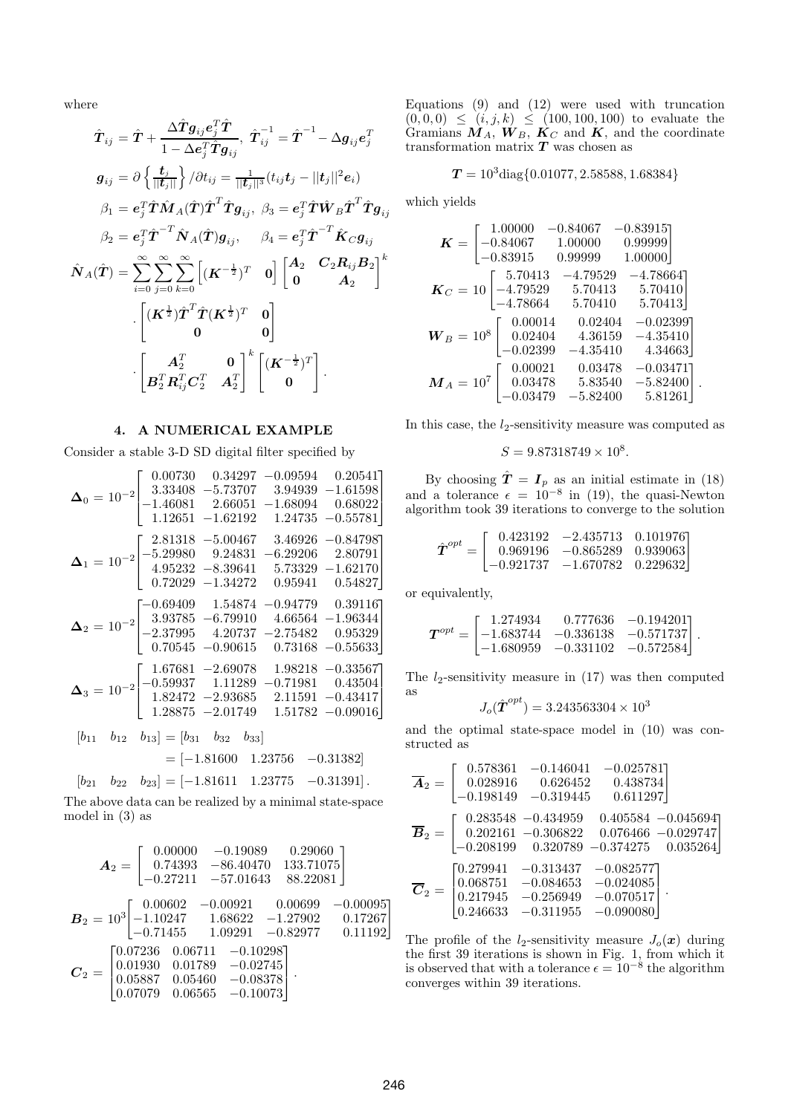where

$$
\hat{T}_{ij} = \hat{T} + \frac{\Delta \hat{T}g_{ij}e_j^T \hat{T}}{1 - \Delta e_j^T \hat{T}g_{ij}}, \ \hat{T}_{ij}^{-1} = \hat{T}^{-1} - \Delta g_{ij}e_j^T
$$
\n
$$
g_{ij} = \partial \left\{ \frac{t_j}{||t_j||} \right\} / \partial t_{ij} = \frac{1}{||t_j||^3} (t_{ij}t_j - ||t_j||^2 e_i)
$$
\n
$$
\beta_1 = e_j^T \hat{T} \hat{M}_A(\hat{T}) \hat{T}^T \hat{T}g_{ij}, \ \beta_3 = e_j^T \hat{T} \hat{W}_B \hat{T}^T \hat{T}g_{ij}
$$
\n
$$
\beta_2 = e_j^T \hat{T}^{-T} \hat{N}_A(\hat{T})g_{ij}, \quad \beta_4 = e_j^T \hat{T}^{-T} \hat{K}_C g_{ij}
$$
\n
$$
\hat{N}_A(\hat{T}) = \sum_{i=0}^{\infty} \sum_{j=0}^{\infty} \sum_{k=0}^{\infty} \left[ (\boldsymbol{K}^{-\frac{1}{2}})^T \quad 0 \right] \begin{bmatrix} A_2 & C_2 R_{ij} B_2 \\ 0 & A_2 \end{bmatrix}^k
$$
\n
$$
\cdot \begin{bmatrix} (\boldsymbol{K}^{\frac{1}{2}}) \hat{T}^T \hat{T} (\boldsymbol{K}^{\frac{1}{2}})^T & 0 \\ 0 & 0 \end{bmatrix}
$$
\n
$$
\cdot \begin{bmatrix} A_2^T & 0 \\ B_2^T R_{ij}^T C_2^T & A_2^T \end{bmatrix}^k \begin{bmatrix} (\boldsymbol{K}^{-\frac{1}{2}})^T \\ 0 \end{bmatrix}.
$$

## **4. A NUMERICAL EXAMPLE**

Consider a stable 3-D SD digital filter specified by

$$
\Delta_0 = 10^{-2} \begin{bmatrix} 0.00730 & 0.34297 & -0.09594 & 0.20541 \\ 3.33408 & -5.73707 & 3.94939 & -1.61598 \\ -1.46081 & 2.66051 & -1.68094 & 0.68022 \\ 1.12651 & -1.62192 & 1.24735 & -0.55781 \end{bmatrix}
$$
  
\n
$$
\Delta_1 = 10^{-2} \begin{bmatrix} 2.81318 & -5.00467 & 3.46926 & -0.84798 \\ -5.29980 & 9.24831 & -6.29206 & 2.80791 \\ 4.95232 & -8.39641 & 5.73329 & -1.62170 \\ 0.72029 & -1.34272 & 0.95941 & 0.54827 \end{bmatrix}
$$
  
\n
$$
\Delta_2 = 10^{-2} \begin{bmatrix} -0.69409 & 1.54874 & -0.94779 & 0.39116 \\ 3.93785 & -6.79910 & 4.66564 & -1.96344 \\ -2.37995 & 4.20737 & -2.75482 & 0.95329 \\ 0.70545 & -0.90615 & 0.73168 & -0.55633 \end{bmatrix}
$$
  
\n
$$
\Delta_3 = 10^{-2} \begin{bmatrix} 1.67681 & -2.69078 & 1.98218 & -0.33567 \\ -0.59937 & 1.11289 & -0.71981 & 0.43504 \\ 1.82472 & -2.93685 & 2.11591 & -0.43417 \\ 1.28875 & -2.01749 & 1.51782 & -0.09016 \end{bmatrix}
$$
  
\n
$$
[b_{11} \quad b_{12} \quad b_{13}] = [b_{31} \quad b_{32} \quad b_{33}]
$$
  
\n
$$
= [-
$$

The above data can be realized by a minimal state-space model in (3) as

$$
\mathbf{A}_2 = \begin{bmatrix} 0.00000 & -0.19089 & 0.29060 \\ 0.74393 & -86.40470 & 133.71075 \\ -0.27211 & -57.01643 & 88.22081 \end{bmatrix}
$$

$$
\mathbf{B}_2 = 10^3 \begin{bmatrix} 0.00602 & -0.00921 & 0.00699 & -0.00095 \\ -1.10247 & 1.68622 & -1.27902 & 0.17267 \\ -0.71455 & 1.09291 & -0.82977 & 0.11192 \end{bmatrix}
$$

$$
\mathbf{C}_2 = \begin{bmatrix} 0.07236 & 0.06711 & -0.10298 \\ 0.01930 & 0.01789 & -0.02745 \\ 0.05887 & 0.05460 & -0.08378 \\ 0.07079 & 0.06565 & -0.10073 \end{bmatrix}.
$$

Equations (9) and (12) were used with truncation  $(0, 0, 0) \leq (i, j, k) \leq (100, 100, 100)$  to evaluate the Gramians  $M_A$ ,  $W_B$ ,  $K_C$  and  $K$ , and the coordinate transformation matrix *T* was chosen as

$$
T = 10^3 \text{diag}\{0.01077, 2.58588, 1.68384\}
$$

which yields

$$
K = \begin{bmatrix} 1.00000 & -0.84067 & -0.83915 \\ -0.84067 & 1.00000 & 0.99999 \\ -0.83915 & 0.99999 & 1.00000 \end{bmatrix}
$$
  
\n
$$
K_C = 10 \begin{bmatrix} 5.70413 & -4.79529 & -4.78664 \\ -4.79529 & 5.70413 & 5.70410 \\ -4.78664 & 5.70410 & 5.70413 \end{bmatrix}
$$
  
\n
$$
W_B = 10^8 \begin{bmatrix} 0.00014 & 0.02404 & -0.02399 \\ 0.02404 & 4.36159 & -4.35410 \\ -0.02399 & -4.35410 & 4.34663 \end{bmatrix}
$$
  
\n
$$
M_A = 10^7 \begin{bmatrix} 0.00021 & 0.03478 & -0.03471 \\ 0.03478 & 5.83540 & -5.82400 \\ -0.03479 & -5.82400 & 5.81261 \end{bmatrix}.
$$

In this case, the  $l_2$ -sensitivity measure was computed as

$$
S = 9.87318749 \times 10^8.
$$

By choosing  $\hat{T} = I_p$  as an initial estimate in (18) and a tolerance  $\epsilon = 10^{-8}$  in (19), the quasi-Newton algorithm took 39 iterations to converge to the solution

$$
\hat{\boldsymbol{T}}^{opt} = \left[\begin{array}{ccc} 0.423192 & -2.435713 & 0.101976\\ 0.969196 & -0.865289 & 0.939063\\ -0.921737 & -1.670782 & 0.229632 \end{array}\right]
$$

or equivalently,

$$
T^{opt} = \begin{bmatrix} 1.274934 & 0.777636 & -0.194201 \\ -1.683744 & -0.336138 & -0.571737 \\ -1.680959 & -0.331102 & -0.572584 \end{bmatrix}.
$$

The  $l_2$ -sensitivity measure in  $(17)$  was then computed as

$$
J_o(\hat{\boldsymbol{T}}^{opt})=3.243563304\times10^3
$$

and the optimal state-space model in (10) was constructed as

$$
\overline{\mathbf{A}}_2 = \begin{bmatrix} 0.578361 & -0.146041 & -0.0257811 \\ 0.028916 & 0.626452 & 0.438734 \\ -0.198149 & -0.319445 & 0.611297 \end{bmatrix}
$$

$$
\overline{\mathbf{B}}_2 = \begin{bmatrix} 0.283548 & -0.434959 & 0.405584 & -0.045694 \\ 0.202161 & -0.306822 & 0.076466 & -0.029747 \\ -0.208199 & 0.320789 & -0.374275 & 0.035264 \end{bmatrix}
$$

$$
\overline{\mathbf{C}}_2 = \begin{bmatrix} 0.279941 & -0.313437 & -0.082577 \\ 0.068751 & -0.084653 & -0.024085 \\ 0.217945 & -0.256949 & -0.070517 \\ 0.246633 & -0.311955 & -0.090080 \end{bmatrix}.
$$

The profile of the  $l_2$ -sensitivity measure  $J_o(\boldsymbol{x})$  during the first 39 iterations is shown in Fig. 1, from which it is observed that with a tolerance  $\epsilon = 10^{-8}$  the algorithm converges within 39 iterations.